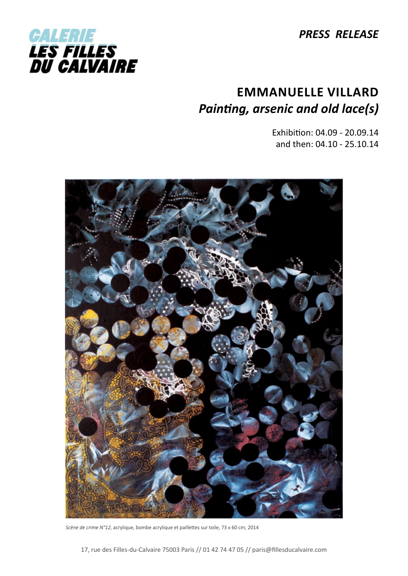*PRESS RELEASE*



# **Emmanuelle VillarD** *Painting, arsenic and old lace(s)*

Exhibition: 04.09 - 20.09.14 and then: 04.10 - 25.10.14



*Scène de crime N°12,* acrylique, bombe acrylique et paillettes sur toile, 73 x 60 cm, 2014

17, rue des Filles-du-Calvaire 75003 Paris // 01 42 74 47 05 // paris@fillesducalvaire.com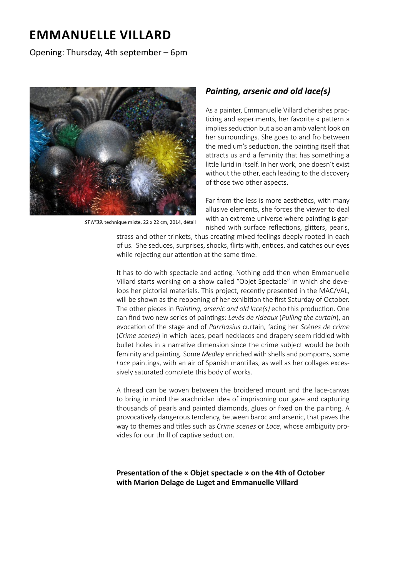## **Emmanuelle VillarD**

### Opening: Thursday, 4th september – 6pm



ST N°39, technique mixte, 22 x 22 cm, 2014, détail

### *Painting, arsenic and old lace(s)*

As a painter, Emmanuelle Villard cherishes practicing and experiments, her favorite « pattern » implies seduction but also an ambivalent look on her surroundings. She goes to and fro between the medium's seduction, the painting itself that attracts us and a feminity that has something a little lurid in itself. In her work, one doesn't exist without the other, each leading to the discovery of those two other aspects.

Far from the less is more aesthetics, with many allusive elements, she forces the viewer to deal with an extreme universe where painting is garnished with surface reflections, glitters, pearls,

strass and other trinkets, thus creating mixed feelings deeply rooted in each of us. She seduces, surprises, shocks, flirts with, entices, and catches our eyes while rejecting our attention at the same time.

It has to do with spectacle and acting. Nothing odd then when Emmanuelle Villard starts working on a show called "Objet Spectacle" in which she develops her pictorial materials. This project, recently presented in the MAC/VAL, will be shown as the reopening of her exhibition the first Saturday of October. The other pieces in *Painting, arsenic and old lace(s)* echo this production. One can find two new series of paintings: *Levés de rideaux* (*Pulling the curtain*), an evocation of the stage and of *Parrhasius* curtain, facing her *Scènes de crime*  (*Crime scenes*) in which laces, pearl necklaces and drapery seem riddled with bullet holes in a narrative dimension since the crime subject would be both feminity and painting. Some *Medley* enriched with shells and pompoms, some *Lace* paintings, with an air of Spanish mantillas, as well as her collages excessively saturated complete this body of works.

A thread can be woven between the broidered mount and the lace-canvas to bring in mind the arachnidan idea of imprisoning our gaze and capturing thousands of pearls and painted diamonds, glues or fixed on the painting. A provocatively dangerous tendency, between baroc and arsenic, that paves the way to themes and titles such as *Crime scenes* or *Lace*, whose ambiguity provides for our thrill of captive seduction.

#### **Presentation of the « Objet spectacle » on the 4th of October with Marion Delage de Luget and Emmanuelle Villard**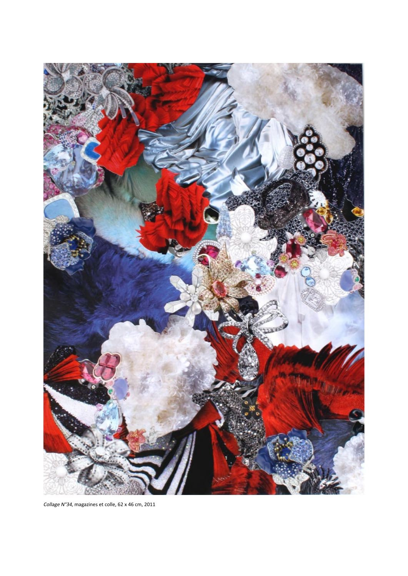

Collage N°34, magazines et colle, 62 x 46 cm, 2011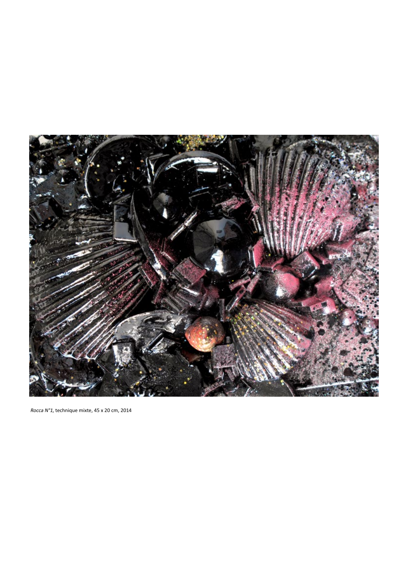

Rocca N°1, technique mixte, 45 x 20 cm, 2014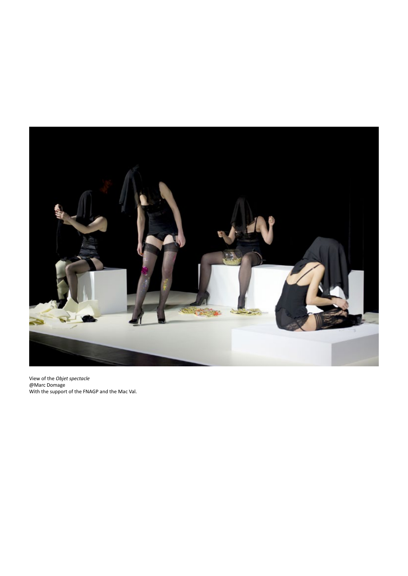

View of the *Objet spectacle* @Marc Domage With the support of the FNAGP and the Mac Val.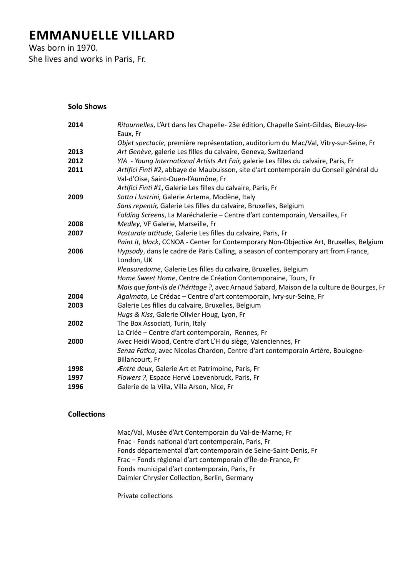# **Emmanuelle Villard**

Was born in 1970. She lives and works in Paris, Fr.

**Solo Shows**

| 2014 | Ritournelles, L'Art dans les Chapelle- 23e édition, Chapelle Saint-Gildas, Bieuzy-les-<br>Eaux, Fr                            |
|------|-------------------------------------------------------------------------------------------------------------------------------|
|      | Objet spectacle, première représentation, auditorium du Mac/Val, Vitry-sur-Seine, Fr                                          |
| 2013 | Art Genève, galerie Les filles du calvaire, Geneva, Switzerland                                                               |
| 2012 | YIA - Young International Artists Art Fair, galerie Les filles du calvaire, Paris, Fr                                         |
| 2011 | Artifici Finti #2, abbaye de Maubuisson, site d'art contemporain du Conseil général du<br>Val-d'Oise, Saint-Ouen-l'Aumône, Fr |
|      | Artifici Finti #1, Galerie Les filles du calvaire, Paris, Fr                                                                  |
| 2009 | Sotto i lustrini, Galerie Artema, Modène, Italy                                                                               |
|      | Sans repentir, Galerie Les filles du calvaire, Bruxelles, Belgium                                                             |
|      | Folding Screens, La Maréchalerie - Centre d'art contemporain, Versailles, Fr                                                  |
| 2008 | Medley, VF Galerie, Marseille, Fr                                                                                             |
| 2007 | Posturale attitude, Galerie Les filles du calvaire, Paris, Fr                                                                 |
|      | Paint it, black, CCNOA - Center for Contemporary Non-Objective Art, Bruxelles, Belgium                                        |
| 2006 | Hypsody, dans le cadre de Paris Calling, a season of contemporary art from France,<br>London, UK                              |
|      | Pleasuredome, Galerie Les filles du calvaire, Bruxelles, Belgium                                                              |
|      | Home Sweet Home, Centre de Création Contemporaine, Tours, Fr                                                                  |
|      | Mais que font-ils de l'héritage ?, avec Arnaud Sabard, Maison de la culture de Bourges, Fr                                    |
| 2004 | Agalmata, Le Crédac - Centre d'art contemporain, Ivry-sur-Seine, Fr                                                           |
| 2003 | Galerie Les filles du calvaire, Bruxelles, Belgium                                                                            |
|      | Hugs & Kiss, Galerie Olivier Houg, Lyon, Fr                                                                                   |
| 2002 | The Box Associati, Turin, Italy                                                                                               |
|      | La Criée - Centre d'art contemporain, Rennes, Fr                                                                              |
| 2000 | Avec Heidi Wood, Centre d'art L'H du siège, Valenciennes, Fr                                                                  |
|      | Senza Fatica, avec Nicolas Chardon, Centre d'art contemporain Artère, Boulogne-<br>Billancourt, Fr                            |
| 1998 | Æntre deux, Galerie Art et Patrimoine, Paris, Fr                                                                              |
| 1997 | Flowers ?, Espace Hervé Loevenbruck, Paris, Fr                                                                                |
| 1996 | Galerie de la Villa, Villa Arson, Nice, Fr                                                                                    |
|      |                                                                                                                               |

#### **Collections**

Mac/Val, Musée d'Art Contemporain du Val-de-Marne, Fr Fnac - Fonds national d'art contemporain, Paris, Fr Fonds départemental d'art contemporain de Seine-Saint-Denis, Fr Frac – Fonds régional d'art contemporain d'Île-de-France, Fr Fonds municipal d'art contemporain, Paris, Fr Daimler Chrysler Collection, Berlin, Germany

Private collections